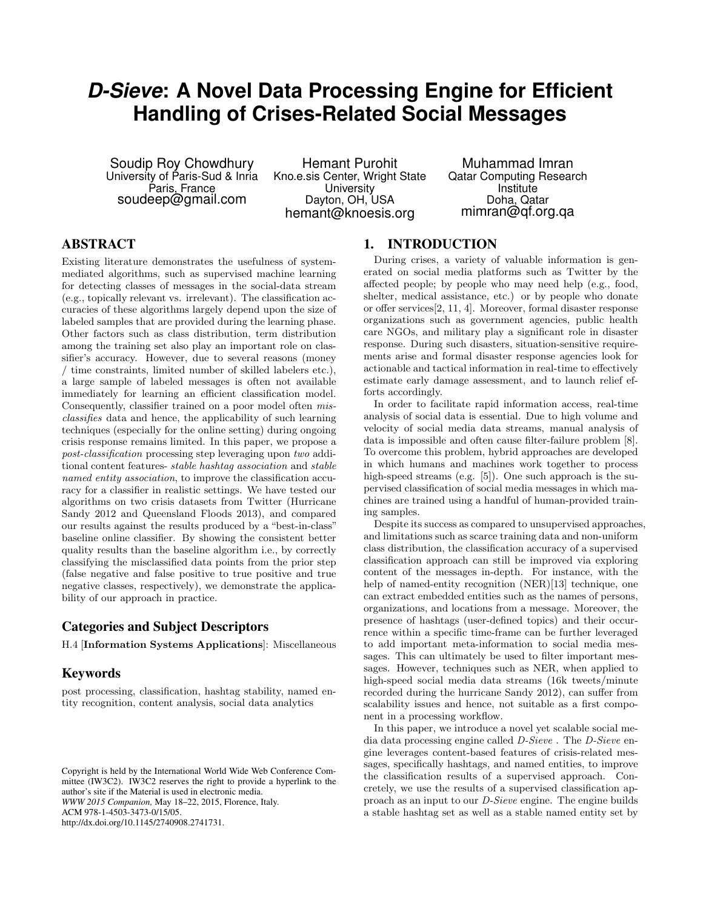# *D-Sieve***: A Novel Data Processing Engine for Efficient Handling of Crises-Related Social Messages**

Soudip Roy Chowdhury University of Paris-Sud & Inria Paris, France soudeep@gmail.com

Hemant Purohit Kno.e.sis Center, Wright State **University** Dayton, OH, USA hemant@knoesis.org

Muhammad Imran Qatar Computing Research **Institute** Doha, Qatar mimran@qf.org.qa

## ABSTRACT

Existing literature demonstrates the usefulness of systemmediated algorithms, such as supervised machine learning for detecting classes of messages in the social-data stream (e.g., topically relevant vs. irrelevant). The classification accuracies of these algorithms largely depend upon the size of labeled samples that are provided during the learning phase. Other factors such as class distribution, term distribution among the training set also play an important role on classifier's accuracy. However, due to several reasons (money / time constraints, limited number of skilled labelers etc.), a large sample of labeled messages is often not available immediately for learning an efficient classification model. Consequently, classifier trained on a poor model often misclassifies data and hence, the applicability of such learning techniques (especially for the online setting) during ongoing crisis response remains limited. In this paper, we propose a post-classification processing step leveraging upon two additional content features- stable hashtag association and stable named entity association, to improve the classification accuracy for a classifier in realistic settings. We have tested our algorithms on two crisis datasets from Twitter (Hurricane Sandy 2012 and Queensland Floods 2013), and compared our results against the results produced by a "best-in-class" baseline online classifier. By showing the consistent better quality results than the baseline algorithm i.e., by correctly classifying the misclassified data points from the prior step (false negative and false positive to true positive and true negative classes, respectively), we demonstrate the applicability of our approach in practice.

## Categories and Subject Descriptors

H.4 [Information Systems Applications]: Miscellaneous

## Keywords

post processing, classification, hashtag stability, named entity recognition, content analysis, social data analytics

## 1. INTRODUCTION

During crises, a variety of valuable information is generated on social media platforms such as Twitter by the affected people; by people who may need help (e.g., food, shelter, medical assistance, etc.) or by people who donate or offer services[2, 11, 4]. Moreover, formal disaster response organizations such as government agencies, public health care NGOs, and military play a significant role in disaster response. During such disasters, situation-sensitive requirements arise and formal disaster response agencies look for actionable and tactical information in real-time to effectively estimate early damage assessment, and to launch relief efforts accordingly.

In order to facilitate rapid information access, real-time analysis of social data is essential. Due to high volume and velocity of social media data streams, manual analysis of data is impossible and often cause filter-failure problem [8]. To overcome this problem, hybrid approaches are developed in which humans and machines work together to process high-speed streams (e.g. [5]). One such approach is the supervised classification of social media messages in which machines are trained using a handful of human-provided training samples.

Despite its success as compared to unsupervised approaches, and limitations such as scarce training data and non-uniform class distribution, the classification accuracy of a supervised classification approach can still be improved via exploring content of the messages in-depth. For instance, with the help of named-entity recognition (NER)[13] technique, one can extract embedded entities such as the names of persons, organizations, and locations from a message. Moreover, the presence of hashtags (user-defined topics) and their occurrence within a specific time-frame can be further leveraged to add important meta-information to social media messages. This can ultimately be used to filter important messages. However, techniques such as NER, when applied to high-speed social media data streams (16k tweets/minute recorded during the hurricane Sandy 2012), can suffer from scalability issues and hence, not suitable as a first component in a processing workflow.

In this paper, we introduce a novel yet scalable social media data processing engine called D-Sieve . The D-Sieve engine leverages content-based features of crisis-related messages, specifically hashtags, and named entities, to improve the classification results of a supervised approach. Concretely, we use the results of a supervised classification approach as an input to our D-Sieve engine. The engine builds a stable hashtag set as well as a stable named entity set by

Copyright is held by the International World Wide Web Conference Committee (IW3C2). IW3C2 reserves the right to provide a hyperlink to the author's site if the Material is used in electronic media. *WWW 2015 Companion,* May 18–22, 2015, Florence, Italy. ACM 978-1-4503-3473-0/15/05. http://dx.doi.org/10.1145/2740908.2741731.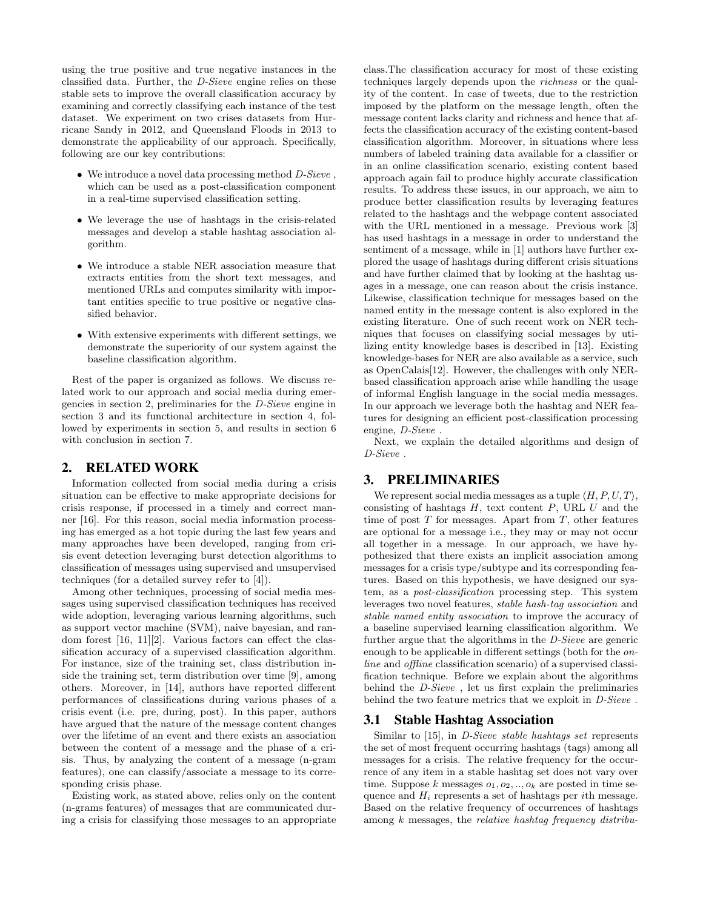using the true positive and true negative instances in the classified data. Further, the D-Sieve engine relies on these stable sets to improve the overall classification accuracy by examining and correctly classifying each instance of the test dataset. We experiment on two crises datasets from Hurricane Sandy in 2012, and Queensland Floods in 2013 to demonstrate the applicability of our approach. Specifically, following are our key contributions:

- $\bullet~$  We introduce a novel data processing method  $D\emph{-}Sieve$  , which can be used as a post-classification component in a real-time supervised classification setting.
- We leverage the use of hashtags in the crisis-related messages and develop a stable hashtag association algorithm.
- We introduce a stable NER association measure that extracts entities from the short text messages, and mentioned URLs and computes similarity with important entities specific to true positive or negative classified behavior.
- With extensive experiments with different settings, we demonstrate the superiority of our system against the baseline classification algorithm.

Rest of the paper is organized as follows. We discuss related work to our approach and social media during emergencies in section 2, preliminaries for the D-Sieve engine in section 3 and its functional architecture in section 4, followed by experiments in section 5, and results in section 6 with conclusion in section 7.

#### 2. RELATED WORK

Information collected from social media during a crisis situation can be effective to make appropriate decisions for crisis response, if processed in a timely and correct manner [16]. For this reason, social media information processing has emerged as a hot topic during the last few years and many approaches have been developed, ranging from crisis event detection leveraging burst detection algorithms to classification of messages using supervised and unsupervised techniques (for a detailed survey refer to [4]).

Among other techniques, processing of social media messages using supervised classification techniques has received wide adoption, leveraging various learning algorithms, such as support vector machine (SVM), naive bayesian, and random forest [16, 11][2]. Various factors can effect the classification accuracy of a supervised classification algorithm. For instance, size of the training set, class distribution inside the training set, term distribution over time [9], among others. Moreover, in [14], authors have reported different performances of classifications during various phases of a crisis event (i.e. pre, during, post). In this paper, authors have argued that the nature of the message content changes over the lifetime of an event and there exists an association between the content of a message and the phase of a crisis. Thus, by analyzing the content of a message (n-gram features), one can classify/associate a message to its corresponding crisis phase.

Existing work, as stated above, relies only on the content (n-grams features) of messages that are communicated during a crisis for classifying those messages to an appropriate class.The classification accuracy for most of these existing techniques largely depends upon the richness or the quality of the content. In case of tweets, due to the restriction imposed by the platform on the message length, often the message content lacks clarity and richness and hence that affects the classification accuracy of the existing content-based classification algorithm. Moreover, in situations where less numbers of labeled training data available for a classifier or in an online classification scenario, existing content based approach again fail to produce highly accurate classification results. To address these issues, in our approach, we aim to produce better classification results by leveraging features related to the hashtags and the webpage content associated with the URL mentioned in a message. Previous work [3] has used hashtags in a message in order to understand the sentiment of a message, while in [1] authors have further explored the usage of hashtags during different crisis situations and have further claimed that by looking at the hashtag usages in a message, one can reason about the crisis instance. Likewise, classification technique for messages based on the named entity in the message content is also explored in the existing literature. One of such recent work on NER techniques that focuses on classifying social messages by utilizing entity knowledge bases is described in [13]. Existing knowledge-bases for NER are also available as a service, such as OpenCalais[12]. However, the challenges with only NERbased classification approach arise while handling the usage of informal English language in the social media messages. In our approach we leverage both the hashtag and NER features for designing an efficient post-classification processing engine, D-Sieve .

Next, we explain the detailed algorithms and design of D-Sieve .

## 3. PRELIMINARIES

We represent social media messages as a tuple  $\langle H, P, U, T \rangle$ , consisting of hashtags  $H$ , text content  $P$ , URL  $U$  and the time of post  $T$  for messages. Apart from  $T$ , other features are optional for a message i.e., they may or may not occur all together in a message. In our approach, we have hypothesized that there exists an implicit association among messages for a crisis type/subtype and its corresponding features. Based on this hypothesis, we have designed our system, as a post-classification processing step. This system leverages two novel features, stable hash-tag association and stable named entity association to improve the accuracy of a baseline supervised learning classification algorithm. We further argue that the algorithms in the D-Sieve are generic enough to be applicable in different settings (both for the online and offline classification scenario) of a supervised classification technique. Before we explain about the algorithms behind the D-Sieve , let us first explain the preliminaries behind the two feature metrics that we exploit in D-Sieve .

#### 3.1 Stable Hashtag Association

Similar to [15], in *D-Sieve stable hashtags set* represents the set of most frequent occurring hashtags (tags) among all messages for a crisis. The relative frequency for the occurrence of any item in a stable hashtag set does not vary over time. Suppose k messages  $o_1, o_2, \ldots, o_k$  are posted in time sequence and  $H_i$  represents a set of hashtags per *i*th message. Based on the relative frequency of occurrences of hashtags among  $k$  messages, the *relative hashtag frequency distribu-*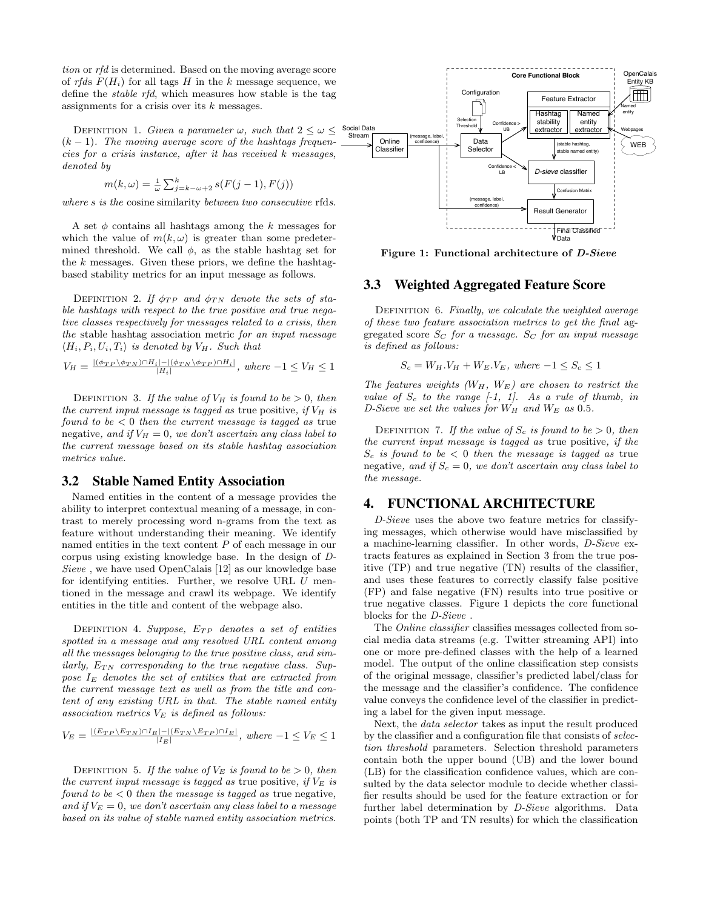tion or rfd is determined. Based on the moving average score of rfds  $F(H_i)$  for all tags H in the k message sequence, we define the stable rfd, which measures how stable is the tag assignments for a crisis over its k messages.

DEFINITION 1. Given a parameter  $\omega$ , such that  $2 \leq \omega \leq$  $(k-1)$ . The moving average score of the hashtags frequencies for a crisis instance, after it has received k messages, denoted by

$$
m(k,\omega) = \frac{1}{\omega} \sum_{j=k-\omega+2}^{k} s(F(j-1),F(j))
$$

where s is the cosine similarity between two consecutive rfds.

A set  $\phi$  contains all hashtags among the k messages for which the value of  $m(k, \omega)$  is greater than some predetermined threshold. We call  $\phi$ , as the stable hashtag set for the  $k$  messages. Given these priors, we define the hashtagbased stability metrics for an input message as follows.

DEFINITION 2. If  $\phi_{TP}$  and  $\phi_{TN}$  denote the sets of stable hashtags with respect to the true positive and true negative classes respectively for messages related to a crisis, then the stable hashtag association metric for an input message  $\langle H_i, P_i, U_i, T_i \rangle$  is denoted by  $V_H$ . Such that

$$
V_H = \frac{|(\phi_{TP} \setminus \phi_{TN}) \cap H_i| - |(\phi_{TN} \setminus \phi_{TP}) \cap H_i|}{|H_i|}, \text{ where } -1 \le V_H \le 1
$$

DEFINITION 3. If the value of  $V_H$  is found to be  $> 0$ , then the current input message is tagged as true positive, if  $V_H$  is found to be  $< 0$  then the current message is tagged as true negative, and if  $V_H = 0$ , we don't ascertain any class label to the current message based on its stable hashtag association metrics value.

#### 3.2 Stable Named Entity Association

Named entities in the content of a message provides the ability to interpret contextual meaning of a message, in contrast to merely processing word n-grams from the text as feature without understanding their meaning. We identify named entities in the text content P of each message in our corpus using existing knowledge base. In the design of D-Sieve , we have used OpenCalais [12] as our knowledge base for identifying entities. Further, we resolve URL  $U$  mentioned in the message and crawl its webpage. We identify entities in the title and content of the webpage also.

DEFINITION 4. Suppose,  $E_{TP}$  denotes a set of entities spotted in a message and any resolved URL content among all the messages belonging to the true positive class, and similarly,  $E_{TN}$  corresponding to the true negative class. Suppose  $I<sub>E</sub>$  denotes the set of entities that are extracted from the current message text as well as from the title and content of any existing URL in that. The stable named entity association metrics  $V_E$  is defined as follows:

$$
V_E = \frac{|(E_{TP} \setminus E_{TN}) \cap I_E| - |(E_{TN} \setminus E_{TP}) \cap I_E|}{|I_E|}, where -1 \le V_E \le 1
$$

DEFINITION 5. If the value of  $V_E$  is found to be  $> 0$ , then the current input message is tagged as true positive, if  $V_E$  is found to be  $< 0$  then the message is tagged as true negative, and if  $V_E = 0$ , we don't ascertain any class label to a message based on its value of stable named entity association metrics.



Figure 1: Functional architecture of *D-Sieve* 

#### 3.3 Weighted Aggregated Feature Score

DEFINITION 6. Finally, we calculate the weighted average of these two feature association metrics to get the final aggregated score  $S_C$  for a message.  $S_C$  for an input message is defined as follows:

$$
S_c = W_H.V_H + W_E.V_E, \text{ where } -1 \le S_c \le 1
$$

The features weights  $(W_H, W_E)$  are chosen to restrict the value of  $S_c$  to the range  $[-1, 1]$ . As a rule of thumb, in D-Sieve we set the values for  $W_H$  and  $W_E$  as 0.5.

DEFINITION 7. If the value of  $S_c$  is found to be  $> 0$ , then the current input message is tagged as true positive, if the  $S_c$  is found to be  $\lt 0$  then the message is tagged as true negative, and if  $S_c = 0$ , we don't ascertain any class label to the message.

#### 4. FUNCTIONAL ARCHITECTURE

D-Sieve uses the above two feature metrics for classifying messages, which otherwise would have misclassified by a machine-learning classifier. In other words, D-Sieve extracts features as explained in Section 3 from the true positive (TP) and true negative (TN) results of the classifier, and uses these features to correctly classify false positive (FP) and false negative (FN) results into true positive or true negative classes. Figure 1 depicts the core functional blocks for the D-Sieve .

The Online classifier classifies messages collected from social media data streams (e.g. Twitter streaming API) into one or more pre-defined classes with the help of a learned model. The output of the online classification step consists of the original message, classifier's predicted label/class for the message and the classifier's confidence. The confidence value conveys the confidence level of the classifier in predicting a label for the given input message.

Next, the data selector takes as input the result produced by the classifier and a configuration file that consists of selection threshold parameters. Selection threshold parameters contain both the upper bound (UB) and the lower bound (LB) for the classification confidence values, which are consulted by the data selector module to decide whether classifier results should be used for the feature extraction or for further label determination by D-Sieve algorithms. Data points (both TP and TN results) for which the classification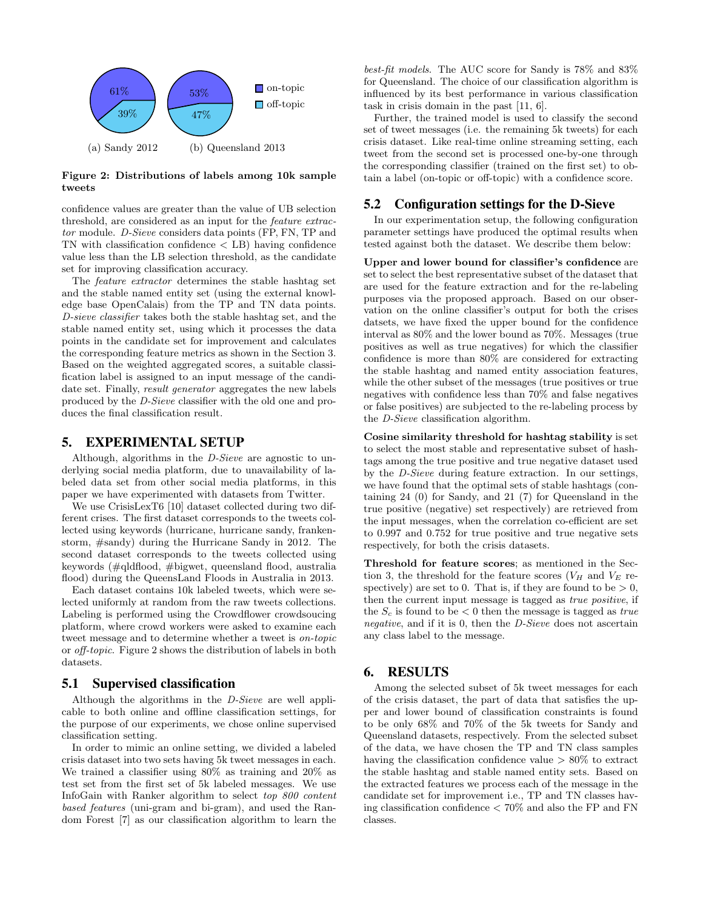

Figure 2: Distributions of labels among 10k sample tweets

confidence values are greater than the value of UB selection threshold, are considered as an input for the feature extractor module. D-Sieve considers data points (FP, FN, TP and TN with classification confidence < LB) having confidence value less than the LB selection threshold, as the candidate set for improving classification accuracy.

The feature extractor determines the stable hashtag set and the stable named entity set (using the external knowledge base OpenCalais) from the TP and TN data points. D-sieve classifier takes both the stable hashtag set, and the stable named entity set, using which it processes the data points in the candidate set for improvement and calculates the corresponding feature metrics as shown in the Section 3. Based on the weighted aggregated scores, a suitable classification label is assigned to an input message of the candidate set. Finally, result generator aggregates the new labels produced by the D-Sieve classifier with the old one and produces the final classification result.

#### 5. EXPERIMENTAL SETUP

Although, algorithms in the D-Sieve are agnostic to underlying social media platform, due to unavailability of labeled data set from other social media platforms, in this paper we have experimented with datasets from Twitter.

We use CrisisLexT6 [10] dataset collected during two different crises. The first dataset corresponds to the tweets collected using keywords (hurricane, hurricane sandy, frankenstorm, #sandy) during the Hurricane Sandy in 2012. The second dataset corresponds to the tweets collected using keywords (#qldflood, #bigwet, queensland flood, australia flood) during the QueensLand Floods in Australia in 2013.

Each dataset contains 10k labeled tweets, which were selected uniformly at random from the raw tweets collections. Labeling is performed using the Crowdflower crowdsoucing platform, where crowd workers were asked to examine each tweet message and to determine whether a tweet is on-topic or off-topic. Figure 2 shows the distribution of labels in both datasets.

#### 5.1 Supervised classification

Although the algorithms in the D-Sieve are well applicable to both online and offline classification settings, for the purpose of our experiments, we chose online supervised classification setting.

In order to mimic an online setting, we divided a labeled crisis dataset into two sets having 5k tweet messages in each. We trained a classifier using 80% as training and 20% as test set from the first set of 5k labeled messages. We use InfoGain with Ranker algorithm to select top 800 content based features (uni-gram and bi-gram), and used the Random Forest [7] as our classification algorithm to learn the

best-fit models. The AUC score for Sandy is 78% and 83% for Queensland. The choice of our classification algorithm is influenced by its best performance in various classification task in crisis domain in the past [11, 6].

Further, the trained model is used to classify the second set of tweet messages (i.e. the remaining 5k tweets) for each crisis dataset. Like real-time online streaming setting, each tweet from the second set is processed one-by-one through the corresponding classifier (trained on the first set) to obtain a label (on-topic or off-topic) with a confidence score.

## 5.2 Configuration settings for the D-Sieve

In our experimentation setup, the following configuration parameter settings have produced the optimal results when tested against both the dataset. We describe them below:

Upper and lower bound for classifier's confidence are set to select the best representative subset of the dataset that are used for the feature extraction and for the re-labeling purposes via the proposed approach. Based on our observation on the online classifier's output for both the crises datsets, we have fixed the upper bound for the confidence interval as 80% and the lower bound as 70%. Messages (true positives as well as true negatives) for which the classifier confidence is more than 80% are considered for extracting the stable hashtag and named entity association features, while the other subset of the messages (true positives or true negatives with confidence less than 70% and false negatives or false positives) are subjected to the re-labeling process by the D-Sieve classification algorithm.

Cosine similarity threshold for hashtag stability is set to select the most stable and representative subset of hashtags among the true positive and true negative dataset used by the D-Sieve during feature extraction. In our settings, we have found that the optimal sets of stable hashtags (containing 24 (0) for Sandy, and 21 (7) for Queensland in the true positive (negative) set respectively) are retrieved from the input messages, when the correlation co-efficient are set to 0.997 and 0.752 for true positive and true negative sets respectively, for both the crisis datasets.

Threshold for feature scores; as mentioned in the Section 3, the threshold for the feature scores  $(V_H$  and  $V_E$  respectively) are set to 0. That is, if they are found to be  $> 0$ , then the current input message is tagged as true positive, if the  $S_c$  is found to be  $\lt 0$  then the message is tagged as *true* negative, and if it is 0, then the D-Sieve does not ascertain any class label to the message.

## 6. RESULTS

Among the selected subset of 5k tweet messages for each of the crisis dataset, the part of data that satisfies the upper and lower bound of classification constraints is found to be only 68% and 70% of the 5k tweets for Sandy and Queensland datasets, respectively. From the selected subset of the data, we have chosen the TP and TN class samples having the classification confidence value  $> 80\%$  to extract the stable hashtag and stable named entity sets. Based on the extracted features we process each of the message in the candidate set for improvement i.e., TP and TN classes having classification confidence < 70% and also the FP and FN classes.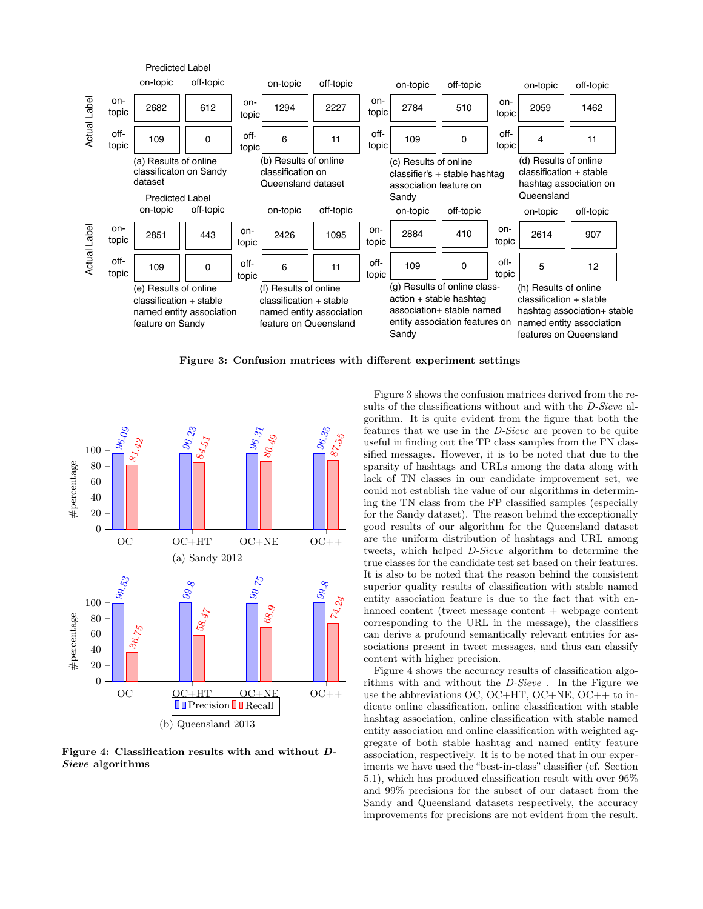

Figure 3: Confusion matrices with different experiment settings



Figure 4: Classification results with and without D-Sieve algorithms

Figure 3 shows the confusion matrices derived from the results of the classifications without and with the *D-Sieve* algorithm. It is quite evident from the figure that both the features that we use in the D-Sieve are proven to be quite useful in finding out the TP class samples from the FN classified messages. However, it is to be noted that due to the sparsity of hashtags and URLs among the data along with lack of TN classes in our candidate improvement set, we could not establish the value of our algorithms in determining the TN class from the FP classified samples (especially for the Sandy dataset). The reason behind the exceptionally good results of our algorithm for the Queensland dataset are the uniform distribution of hashtags and URL among tweets, which helped D-Sieve algorithm to determine the true classes for the candidate test set based on their features. It is also to be noted that the reason behind the consistent superior quality results of classification with stable named entity association feature is due to the fact that with enhanced content (tweet message content + webpage content corresponding to the URL in the message), the classifiers can derive a profound semantically relevant entities for associations present in tweet messages, and thus can classify content with higher precision.

Figure 4 shows the accuracy results of classification algorithms with and without the D-Sieve . In the Figure we use the abbreviations OC, OC+HT, OC+NE, OC++ to indicate online classification, online classification with stable hashtag association, online classification with stable named entity association and online classification with weighted aggregate of both stable hashtag and named entity feature association, respectively. It is to be noted that in our experiments we have used the "best-in-class" classifier (cf. Section 5.1), which has produced classification result with over 96% and 99% precisions for the subset of our dataset from the Sandy and Queensland datasets respectively, the accuracy improvements for precisions are not evident from the result.